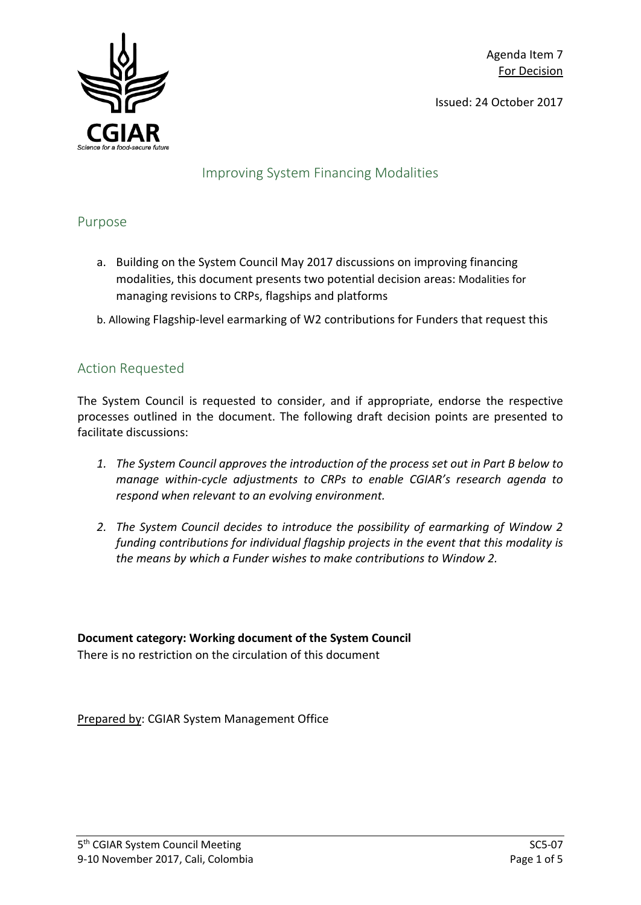Issued: 24 October 2017



### Improving System Financing Modalities

### Purpose

- a. Building on the System Council May 2017 discussions on improving financing modalities, this document presents two potential decision areas: Modalities for managing revisions to CRPs, flagships and platforms
- b. Allowing Flagship-level earmarking of W2 contributions for Funders that request this

# Action Requested

The System Council is requested to consider, and if appropriate, endorse the respective processes outlined in the document. The following draft decision points are presented to facilitate discussions:

- *1. The System Council approves the introduction of the process set out in Part B below to manage within-cycle adjustments to CRPs to enable CGIAR's research agenda to respond when relevant to an evolving environment.*
- *2. The System Council decides to introduce the possibility of earmarking of Window 2 funding contributions for individual flagship projects in the event that this modality is the means by which a Funder wishes to make contributions to Window 2.*

# **Document category: Working document of the System Council**

There is no restriction on the circulation of this document

Prepared by: CGIAR System Management Office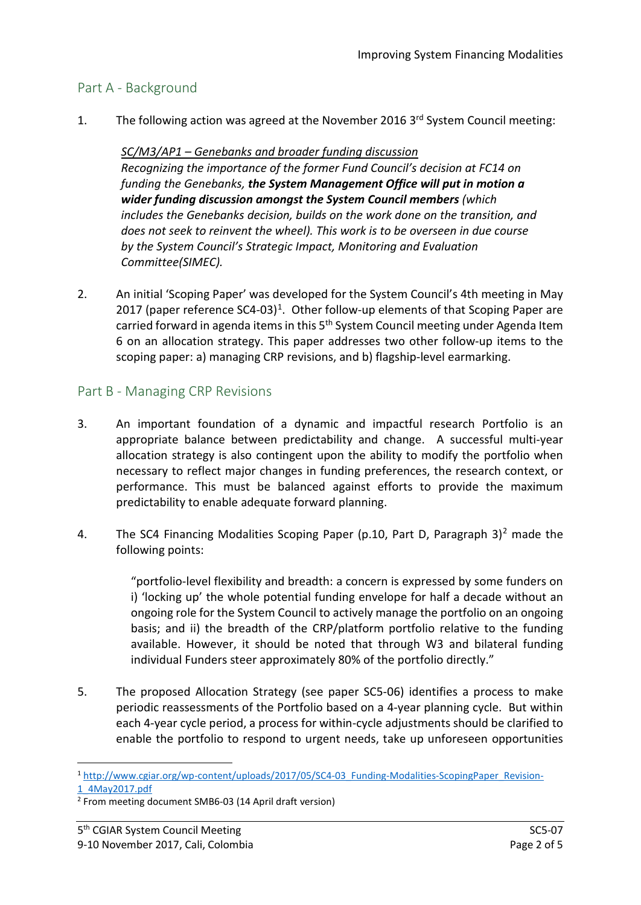### Part A - Background

1. The following action was agreed at the November 2016  $3<sup>rd</sup>$  System Council meeting:

#### *SC/M3/AP1 – Genebanks and broader funding discussion Recognizing the importance of the former Fund Council's decision at FC14 on funding the Genebanks, the System Management Office will put in motion a wider funding discussion amongst the System Council members (which includes the Genebanks decision, builds on the work done on the transition, and does not seek to reinvent the wheel). This work is to be overseen in due course by the System Council's Strategic Impact, Monitoring and Evaluation Committee(SIMEC).*

2. An initial 'Scoping Paper' was developed for the System Council's 4th meeting in May 20[1](#page-1-0)7 (paper reference  $SC4-03$ )<sup>1</sup>. Other follow-up elements of that Scoping Paper are carried forward in agenda items in this 5th System Council meeting under Agenda Item 6 on an allocation strategy. This paper addresses two other follow-up items to the scoping paper: a) managing CRP revisions, and b) flagship-level earmarking.

## Part B - Managing CRP Revisions

- 3. An important foundation of a dynamic and impactful research Portfolio is an appropriate balance between predictability and change. A successful multi-year allocation strategy is also contingent upon the ability to modify the portfolio when necessary to reflect major changes in funding preferences, the research context, or performance. This must be balanced against efforts to provide the maximum predictability to enable adequate forward planning.
- 4. The SC4 Financing Modalities Scoping Paper (p.10, Part D, Paragraph  $3)^2$  $3)^2$  made the following points:

"portfolio-level flexibility and breadth: a concern is expressed by some funders on i) 'locking up' the whole potential funding envelope for half a decade without an ongoing role for the System Council to actively manage the portfolio on an ongoing basis; and ii) the breadth of the CRP/platform portfolio relative to the funding available. However, it should be noted that through W3 and bilateral funding individual Funders steer approximately 80% of the portfolio directly."

5. The proposed Allocation Strategy (see paper SC5-06) identifies a process to make periodic reassessments of the Portfolio based on a 4-year planning cycle. But within each 4-year cycle period, a process for within-cycle adjustments should be clarified to enable the portfolio to respond to urgent needs, take up unforeseen opportunities

<span id="page-1-0"></span> <sup>1</sup> [http://www.cgiar.org/wp-content/uploads/2017/05/SC4-03\\_Funding-Modalities-ScopingPaper\\_Revision-](http://www.cgiar.org/wp-content/uploads/2017/05/SC4-03_Funding-Modalities-ScopingPaper_Revision-1_4May2017.pdf)[1\\_4May2017.pdf](http://www.cgiar.org/wp-content/uploads/2017/05/SC4-03_Funding-Modalities-ScopingPaper_Revision-1_4May2017.pdf)

<span id="page-1-1"></span><sup>2</sup> From meeting document SMB6-03 (14 April draft version)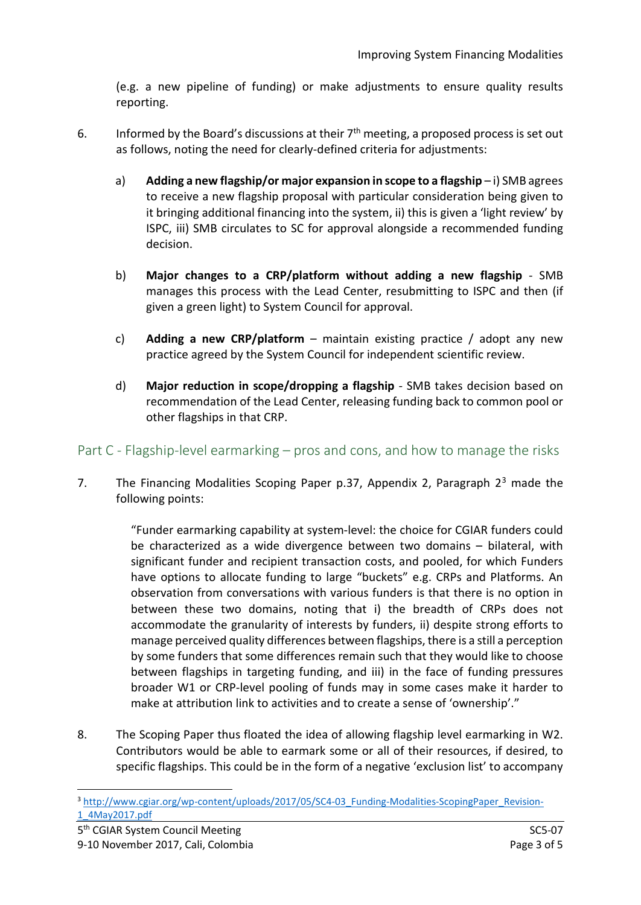(e.g. a new pipeline of funding) or make adjustments to ensure quality results reporting.

- 6. Informed by the Board's discussions at their  $7<sup>th</sup>$  meeting, a proposed process is set out as follows, noting the need for clearly-defined criteria for adjustments:
	- a) **Adding a new flagship/or major expansion in scope to a flagship**-i) SMB agrees to receive a new flagship proposal with particular consideration being given to it bringing additional financing into the system, ii) this is given a 'light review' by ISPC, iii) SMB circulates to SC for approval alongside a recommended funding decision.
	- b) **Major changes to a CRP/platform without adding a new flagship**  SMB manages this process with the Lead Center, resubmitting to ISPC and then (if given a green light) to System Council for approval.
	- c) **Adding a new CRP/platform** maintain existing practice / adopt any new practice agreed by the System Council for independent scientific review.
	- d) **Major reduction in scope/dropping a flagship** SMB takes decision based on recommendation of the Lead Center, releasing funding back to common pool or other flagships in that CRP.

### Part C - Flagship-level earmarking – pros and cons, and how to manage the risks

7. The Financing Modalities Scoping Paper p.[3](#page-2-0)7, Appendix 2, Paragraph  $2<sup>3</sup>$  made the following points:

> "Funder earmarking capability at system-level: the choice for CGIAR funders could be characterized as a wide divergence between two domains – bilateral, with significant funder and recipient transaction costs, and pooled, for which Funders have options to allocate funding to large "buckets" e.g. CRPs and Platforms. An observation from conversations with various funders is that there is no option in between these two domains, noting that i) the breadth of CRPs does not accommodate the granularity of interests by funders, ii) despite strong efforts to manage perceived quality differences between flagships, there is a still a perception by some funders that some differences remain such that they would like to choose between flagships in targeting funding, and iii) in the face of funding pressures broader W1 or CRP-level pooling of funds may in some cases make it harder to make at attribution link to activities and to create a sense of 'ownership'."

8. The Scoping Paper thus floated the idea of allowing flagship level earmarking in W2. Contributors would be able to earmark some or all of their resources, if desired, to specific flagships. This could be in the form of a negative 'exclusion list' to accompany

<span id="page-2-0"></span><sup>3</sup> http://www.cgiar.org/wp-content/uploads/2017/05/SC4-03 Funding-Modalities-ScopingPaper Revision-[1\\_4May2017.pdf](http://www.cgiar.org/wp-content/uploads/2017/05/SC4-03_Funding-Modalities-ScopingPaper_Revision-1_4May2017.pdf)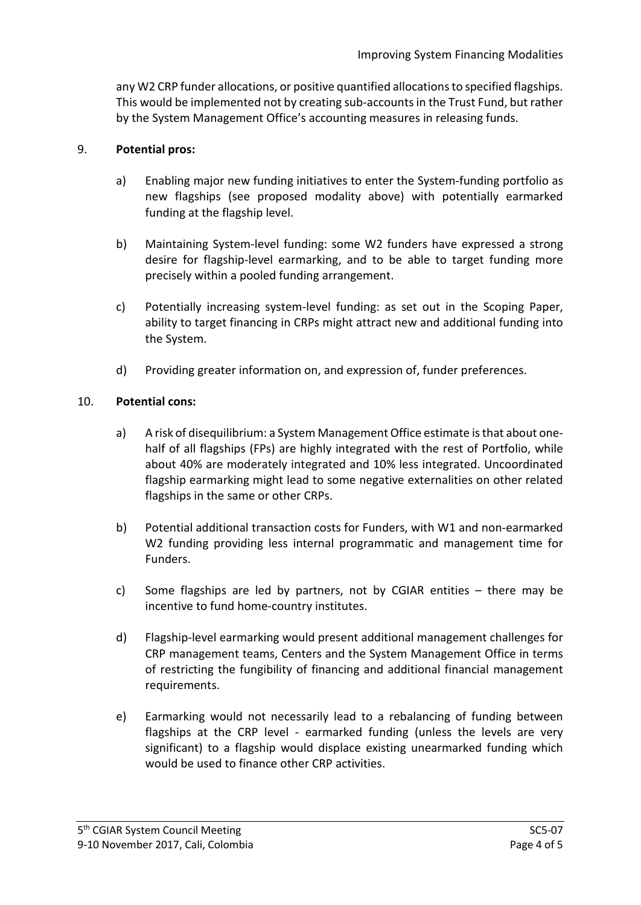any W2 CRP funder allocations, or positive quantified allocations to specified flagships. This would be implemented not by creating sub-accounts in the Trust Fund, but rather by the System Management Office's accounting measures in releasing funds.

#### 9. **Potential pros:**

- a) Enabling major new funding initiatives to enter the System-funding portfolio as new flagships (see proposed modality above) with potentially earmarked funding at the flagship level.
- b) Maintaining System-level funding: some W2 funders have expressed a strong desire for flagship-level earmarking, and to be able to target funding more precisely within a pooled funding arrangement.
- c) Potentially increasing system-level funding: as set out in the Scoping Paper, ability to target financing in CRPs might attract new and additional funding into the System.
- d) Providing greater information on, and expression of, funder preferences.

#### 10. **Potential cons:**

- a) A risk of disequilibrium: a System Management Office estimate is that about onehalf of all flagships (FPs) are highly integrated with the rest of Portfolio, while about 40% are moderately integrated and 10% less integrated. Uncoordinated flagship earmarking might lead to some negative externalities on other related flagships in the same or other CRPs.
- b) Potential additional transaction costs for Funders, with W1 and non-earmarked W2 funding providing less internal programmatic and management time for Funders.
- c) Some flagships are led by partners, not by CGIAR entities there may be incentive to fund home-country institutes.
- d) Flagship-level earmarking would present additional management challenges for CRP management teams, Centers and the System Management Office in terms of restricting the fungibility of financing and additional financial management requirements.
- e) Earmarking would not necessarily lead to a rebalancing of funding between flagships at the CRP level - earmarked funding (unless the levels are very significant) to a flagship would displace existing unearmarked funding which would be used to finance other CRP activities.